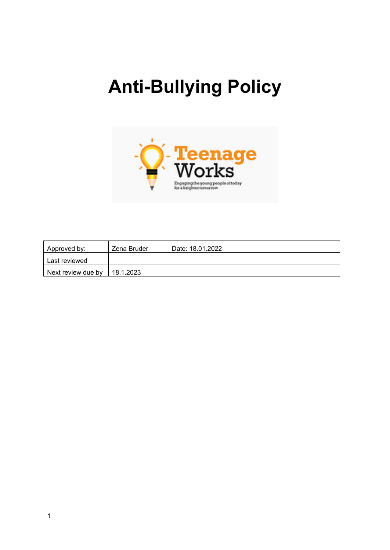# **Anti-Bullying Policy**



| Approved by:       | Zena Bruder | Date: 18.01.2022 |
|--------------------|-------------|------------------|
| Last reviewed      |             |                  |
| Next review due by | 18.1.2023   |                  |

1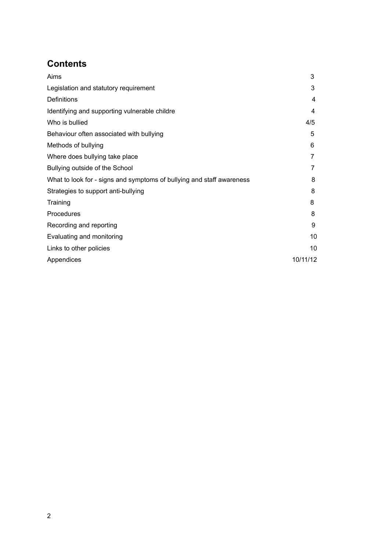# **Contents**

| 3        |
|----------|
| 3        |
| 4        |
| 4        |
| 4/5      |
| 5        |
| 6        |
| 7        |
|          |
| 8        |
| 8        |
| 8        |
| 8        |
| 9        |
| 10       |
| 10       |
| 10/11/12 |
|          |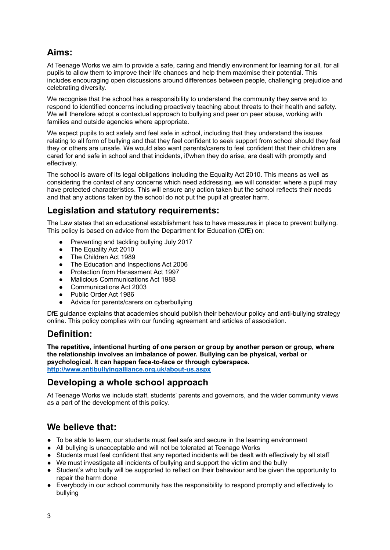# **Aims:**

At Teenage Works we aim to provide a safe, caring and friendly environment for learning for all, for all pupils to allow them to improve their life chances and help them maximise their potential. This includes encouraging open discussions around differences between people, challenging prejudice and celebrating diversity.

We recognise that the school has a responsibility to understand the community they serve and to respond to identified concerns including proactively teaching about threats to their health and safety. We will therefore adopt a contextual approach to bullying and peer on peer abuse, working with families and outside agencies where appropriate.

We expect pupils to act safely and feel safe in school, including that they understand the issues relating to all form of bullying and that they feel confident to seek support from school should they feel they or others are unsafe. We would also want parents/carers to feel confident that their children are cared for and safe in school and that incidents, if/when they do arise, are dealt with promptly and effectively.

The school is aware of its legal obligations including the Equality Act 2010. This means as well as considering the context of any concerns which need addressing, we will consider, where a pupil may have protected characteristics. This will ensure any action taken but the school reflects their needs and that any actions taken by the school do not put the pupil at greater harm.

# **Legislation and statutory requirements:**

The Law states that an educational establishment has to have measures in place to prevent bullying. This policy is based on advice from the Department for Education (DfE) on:

- Preventing and tackling bullying July 2017
- The Equality Act 2010
- The Children Act 1989
- The Education and Inspections Act 2006
- Protection from Harassment Act 1997
- Malicious Communications Act 1988
- Communications Act 2003
- Public Order Act 1986
- Advice for parents/carers on cyberbullying

DfE guidance explains that academies should publish their behaviour policy and anti-bullying strategy online. This policy complies with our funding agreement and articles of association.

### **Definition:**

**The repetitive, intentional hurting of one person or group by another person or group, where the relationship involves an imbalance of power. Bullying can be physical, verbal or psychological. It can happen face-to-face or through cyberspace. <http://www.antibullyingalliance.org.uk/about-us.aspx>**

# **Developing a whole school approach**

At Teenage Works we include staff, students' parents and governors, and the wider community views as a part of the development of this policy.

# **We believe that:**

- To be able to learn, our students must feel safe and secure in the learning environment
- All bullying is unacceptable and will not be tolerated at Teenage Works
- Students must feel confident that any reported incidents will be dealt with effectively by all staff
- We must investigate all incidents of bullying and support the victim and the bully
- Student's who bully will be supported to reflect on their behaviour and be given the opportunity to repair the harm done
- Everybody in our school community has the responsibility to respond promptly and effectively to bullying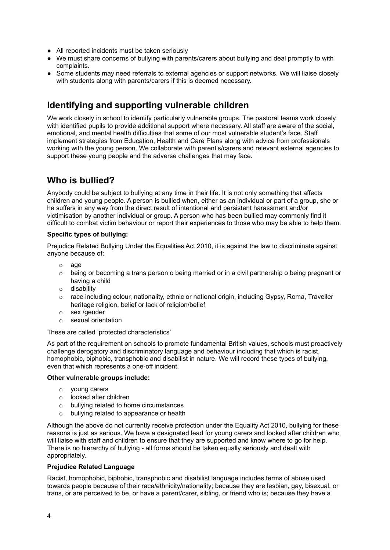- All reported incidents must be taken seriously
- We must share concerns of bullying with parents/carers about bullying and deal promptly to with complaints.
- Some students may need referrals to external agencies or support networks. We will liaise closely with students along with parents/carers if this is deemed necessary.

# **Identifying and supporting vulnerable children**

We work closely in school to identify particularly vulnerable groups. The pastoral teams work closely with identified pupils to provide additional support where necessary. All staff are aware of the social, emotional, and mental health difficulties that some of our most vulnerable student's face. Staff implement strategies from Education, Health and Care Plans along with advice from professionals working with the young person. We collaborate with parent's/carers and relevant external agencies to support these young people and the adverse challenges that may face.

# **Who is bullied?**

Anybody could be subject to bullying at any time in their life. It is not only something that affects children and young people. A person is bullied when, either as an individual or part of a group, she or he suffers in any way from the direct result of intentional and persistent harassment and/or victimisation by another individual or group. A person who has been bullied may commonly find it difficult to combat victim behaviour or report their experiences to those who may be able to help them.

#### **Specific types of bullying:**

Prejudice Related Bullying Under the Equalities Act 2010, it is against the law to discriminate against anyone because of:

- o age
- $\circ$  being or becoming a trans person o being married or in a civil partnership o being pregnant or having a child
- o disability
- $\circ$  race including colour, nationality, ethnic or national origin, including Gypsy, Roma, Traveller heritage religion, belief or lack of religion/belief
- o sex /gender
- o sexual orientation

#### These are called 'protected characteristics'

As part of the requirement on schools to promote fundamental British values, schools must proactively challenge derogatory and discriminatory language and behaviour including that which is racist, homophobic, biphobic, transphobic and disabilist in nature. We will record these types of bullying, even that which represents a one-off incident.

#### **Other vulnerable groups include:**

- o young carers
- o looked after children
- o bullying related to home circumstances
- o bullying related to appearance or health

Although the above do not currently receive protection under the Equality Act 2010, bullying for these reasons is just as serious. We have a designated lead for young carers and looked after children who will liaise with staff and children to ensure that they are supported and know where to go for help. There is no hierarchy of bullying - all forms should be taken equally seriously and dealt with appropriately.

#### **Prejudice Related Language**

Racist, homophobic, biphobic, transphobic and disabilist language includes terms of abuse used towards people because of their race/ethnicity/nationality; because they are lesbian, gay, bisexual, or trans, or are perceived to be, or have a parent/carer, sibling, or friend who is; because they have a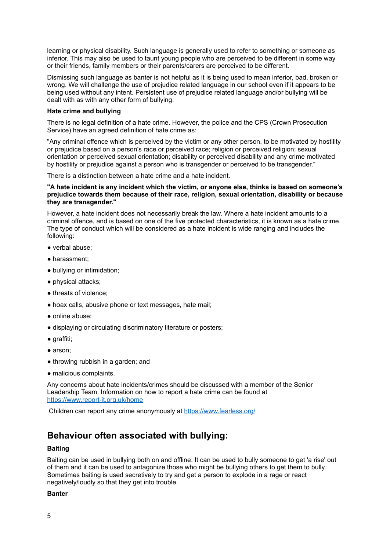learning or physical disability. Such language is generally used to refer to something or someone as inferior. This may also be used to taunt young people who are perceived to be different in some way or their friends, family members or their parents/carers are perceived to be different.

Dismissing such language as banter is not helpful as it is being used to mean inferior, bad, broken or wrong. We will challenge the use of prejudice related language in our school even if it appears to be being used without any intent. Persistent use of prejudice related language and/or bullying will be dealt with as with any other form of bullying.

#### **Hate crime and bullying**

There is no legal definition of a hate crime. However, the police and the CPS (Crown Prosecution Service) have an agreed definition of hate crime as:

"Any criminal offence which is perceived by the victim or any other person, to be motivated by hostility or prejudice based on a person's race or perceived race; religion or perceived religion; sexual orientation or perceived sexual orientation; disability or perceived disability and any crime motivated by hostility or prejudice against a person who is transgender or perceived to be transgender."

There is a distinction between a hate crime and a hate incident.

#### **"A hate incident is any incident which the victim, or anyone else, thinks is based on someone's prejudice towards them because of their race, religion, sexual orientation, disability or because they are transgender."**

However, a hate incident does not necessarily break the law. Where a hate incident amounts to a criminal offence, and is based on one of the five protected characteristics, it is known as a hate crime. The type of conduct which will be considered as a hate incident is wide ranging and includes the following:

- verbal abuse;
- harassment;
- bullying or intimidation;
- physical attacks;
- threats of violence;
- hoax calls, abusive phone or text messages, hate mail;
- online abuse;
- displaying or circulating discriminatory literature or posters;
- graffiti;
- arson;
- throwing rubbish in a garden; and
- malicious complaints.

Any concerns about hate incidents/crimes should be discussed with a member of the Senior Leadership Team. Information on how to report a hate crime can be found at <https://www.report-it.org.uk/home>

Children can report any crime anonymously at <https://www.fearless.org/>

# **Behaviour often associated with bullying:**

#### **Baiting**

Baiting can be used in bullying both on and offline. It can be used to bully someone to get 'a rise' out of them and it can be used to antagonize those who might be bullying others to get them to bully. Sometimes baiting is used secretively to try and get a person to explode in a rage or react negatively/loudly so that they get into trouble.

#### **Banter**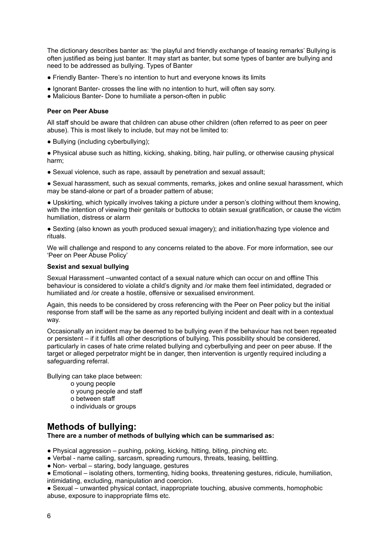The dictionary describes banter as: 'the playful and friendly exchange of teasing remarks' Bullying is often justified as being just banter. It may start as banter, but some types of banter are bullying and need to be addressed as bullying. Types of Banter

- Friendly Banter- There's no intention to hurt and everyone knows its limits
- Ignorant Banter- crosses the line with no intention to hurt, will often say sorry.
- Malicious Banter- Done to humiliate a person-often in public

#### **Peer on Peer Abuse**

All staff should be aware that children can abuse other children (often referred to as peer on peer abuse). This is most likely to include, but may not be limited to:

• Bullying (including cyberbullying);

● Physical abuse such as hitting, kicking, shaking, biting, hair pulling, or otherwise causing physical harm;

• Sexual violence, such as rape, assault by penetration and sexual assault;

● Sexual harassment, such as sexual comments, remarks, jokes and online sexual harassment, which may be stand-alone or part of a broader pattern of abuse;

● Upskirting, which typically involves taking a picture under a person's clothing without them knowing, with the intention of viewing their genitals or buttocks to obtain sexual gratification, or cause the victim humiliation, distress or alarm

● Sexting (also known as youth produced sexual imagery); and initiation/hazing type violence and rituals.

We will challenge and respond to any concerns related to the above. For more information, see our 'Peer on Peer Abuse Policy'

#### **Sexist and sexual bullying**

Sexual Harassment –unwanted contact of a sexual nature which can occur on and offline This behaviour is considered to violate a child's dignity and /or make them feel intimidated, degraded or humiliated and /or create a hostile, offensive or sexualised environment.

Again, this needs to be considered by cross referencing with the Peer on Peer policy but the initial response from staff will be the same as any reported bullying incident and dealt with in a contextual way.

Occasionally an incident may be deemed to be bullying even if the behaviour has not been repeated or persistent – if it fulfils all other descriptions of bullying. This possibility should be considered, particularly in cases of hate crime related bullying and cyberbullying and peer on peer abuse. If the target or alleged perpetrator might be in danger, then intervention is urgently required including a safeguarding referral.

Bullying can take place between:

- o young people
- o young people and staff
- o between staff
- o individuals or groups

# **Methods of bullying:**

**There are a number of methods of bullying which can be summarised as:**

- Physical aggression pushing, poking, kicking, hitting, biting, pinching etc.
- Verbal name calling, sarcasm, spreading rumours, threats, teasing, belittling.
- Non- verbal staring, body language, gestures
- Emotional isolating others, tormenting, hiding books, threatening gestures, ridicule, humiliation, intimidating, excluding, manipulation and coercion.

● Sexual – unwanted physical contact, inappropriate touching, abusive comments, homophobic abuse, exposure to inappropriate films etc.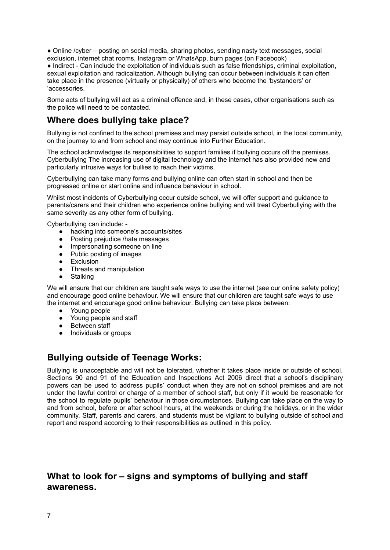• Online /cyber – posting on social media, sharing photos, sending nasty text messages, social exclusion, internet chat rooms, Instagram or WhatsApp, burn pages (on Facebook)

● Indirect - Can include the exploitation of individuals such as false friendships, criminal exploitation, sexual exploitation and radicalization. Although bullying can occur between individuals it can often take place in the presence (virtually or physically) of others who become the 'bystanders' or 'accessories.

Some acts of bullying will act as a criminal offence and, in these cases, other organisations such as the police will need to be contacted.

### **Where does bullying take place?**

Bullying is not confined to the school premises and may persist outside school, in the local community, on the journey to and from school and may continue into Further Education.

The school acknowledges its responsibilities to support families if bullying occurs off the premises. Cyberbullying The increasing use of digital technology and the internet has also provided new and particularly intrusive ways for bullies to reach their victims.

Cyberbullying can take many forms and bullying online can often start in school and then be progressed online or start online and influence behaviour in school.

Whilst most incidents of Cyberbullying occur outside school, we will offer support and guidance to parents/carers and their children who experience online bullying and will treat Cyberbullying with the same severity as any other form of bullying.

Cyberbullying can include: -

- hacking into someone's accounts/sites
- Posting prejudice /hate messages<br>• Impersonating someone on line
- Impersonating someone on line
- Public posting of images
- Exclusion
- Threats and manipulation
- Stalking

We will ensure that our children are taught safe ways to use the internet (see our online safety policy) and encourage good online behaviour. We will ensure that our children are taught safe ways to use the internet and encourage good online behaviour. Bullying can take place between:

- Young people
- Young people and staff<br>• Between staff
- Between staff
- **●** Individuals or groups

### **Bullying outside of Teenage Works:**

Bullying is unacceptable and will not be tolerated, whether it takes place inside or outside of school. Sections 90 and 91 of the Education and Inspections Act 2006 direct that a school's disciplinary powers can be used to address pupils' conduct when they are not on school premises and are not under the lawful control or charge of a member of school staff, but only if it would be reasonable for the school to regulate pupils' behaviour in those circumstances*.* Bullying can take place on the way to and from school, before or after school hours, at the weekends or during the holidays, or in the wider community. Staff, parents and carers, and students must be vigilant to bullying outside of school and report and respond according to their responsibilities as outlined in this policy.

### **What to look for – signs and symptoms of bullying and staff awareness.**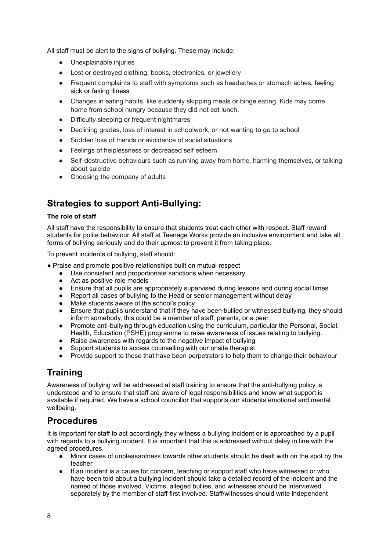All staff must be alert to the signs of bullying. These may include:

- Unexplainable injuries
- Lost or destroyed clothing, books, electronics, or jewellery
- Frequent complaints to staff with symptoms such as headaches or stomach aches, [feeling](https://www.stopbullying.gov/blog/2017/01/17/protecting-youth-bullying-role-pediatrician) sick or faking [illness](https://www.stopbullying.gov/blog/2017/01/17/protecting-youth-bullying-role-pediatrician)
- Changes in eating habits, like suddenly skipping meals or binge eating. Kids may come home from school hungry because they did not eat lunch.
- Difficulty sleeping or frequent nightmares
- Declining grades, loss of interest in schoolwork, or not wanting to go to school
- Sudden loss of friends or avoidance of social situations
- Feelings of helplessness or decreased self esteem
- Self-destructive behaviours such as running away from home, harming themselves, or talking about suicide
- Choosing the company of adults

# **Strategies to support Anti-Bullying:**

#### **The role of staff**

All staff have the responsibility to ensure that students treat each other with respect. Staff reward students for polite behaviour. All staff at Teenage Works provide an inclusive environment and take all forms of bullying seriously and do their upmost to prevent it from taking place.

To prevent incidents of bullying, staff should:

- Praise and promote positive relationships built on mutual respect
	- Use consistent and proportionate sanctions when necessary
	- Act as positive role models
	- Ensure that all pupils are appropriately supervised during lessons and during social times
	- Report all cases of bullying to the Head or senior management without delay
	- Make students aware of the school's policy
	- Ensure that pupils understand that if they have been bullied or witnessed bullying, they should inform somebody, this could be a member of staff, parents, or a peer.
	- Promote anti-bullying through education using the curriculum, particular the Personal, Social, Health, Education (PSHE) programme to raise awareness of issues relating to bullying.
	- Raise awareness with regards to the negative impact of bullying
	- Support students to access counselling with our onsite therapist
	- Provide support to those that have been perpetrators to help them to change their behaviour

# **Training**

Awareness of bullying will be addressed at staff training to ensure that the anti-bullying policy is understood and to ensure that staff are aware of legal responsibilities and know what support is available if required. We have a school councillor that supports our students emotional and mental wellbeing.

### **Procedures**

It is important for staff to act accordingly they witness a bullying incident or is approached by a pupil with regards to a bullying incident. It is important that this is addressed without delay in line with the agreed procedures.

- Minor cases of unpleasantness towards other students should be dealt with on the spot by the teacher
- If an incident is a cause for concern, teaching or support staff who have witnessed or who have been told about a bullying incident should take a detailed record of the incident and the named of those involved. Victims, alleged bullies, and witnesses should be interviewed separately by the member of staff first involved. Staff/witnesses should write independent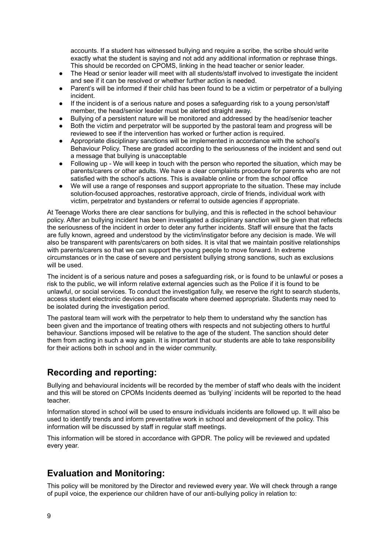accounts. If a student has witnessed bullying and require a scribe, the scribe should write exactly what the student is saying and not add any additional information or rephrase things. This should be recorded on CPOMS, linking in the head teacher or senior leader.

- The Head or senior leader will meet with all students/staff involved to investigate the incident and see if it can be resolved or whether further action is needed.
- Parent's will be informed if their child has been found to be a victim or perpetrator of a bullying incident.
- If the incident is of a serious nature and poses a safeguarding risk to a young person/staff member, the head/senior leader must be alerted straight away.
- Bullying of a persistent nature will be monitored and addressed by the head/senior teacher
- Both the victim and perpetrator will be supported by the pastoral team and progress will be reviewed to see if the intervention has worked or further action is required.
- Appropriate disciplinary sanctions will be implemented in accordance with the school's Behaviour Policy. These are graded according to the seriousness of the incident and send out a message that bullying is unacceptable
- Following up We will keep in touch with the person who reported the situation, which may be parents/carers or other adults. We have a clear complaints procedure for parents who are not satisfied with the school's actions. This is available online or from the school office
- We will use a range of responses and support appropriate to the situation. These may include solution-focused approaches, restorative approach, circle of friends, individual work with victim, perpetrator and bystanders or referral to outside agencies if appropriate.

At Teenage Works there are clear sanctions for bullying, and this is reflected in the school behaviour policy. After an bullying incident has been investigated a disciplinary sanction will be given that reflects the seriousness of the incident in order to deter any further incidents. Staff will ensure that the facts are fully known, agreed and understood by the victim/instigator before any decision is made. We will also be transparent with parents/carers on both sides. It is vital that we maintain positive relationships with parents/carers so that we can support the young people to move forward. In extreme circumstances or in the case of severe and persistent bullying strong sanctions, such as exclusions will be used.

The incident is of a serious nature and poses a safeguarding risk, or is found to be unlawful or poses a risk to the public, we will inform relative external agencies such as the Police if it is found to be unlawful, or social services. To conduct the investigation fully, we reserve the right to search students, access student electronic devices and confiscate where deemed appropriate. Students may need to be isolated during the investigation period.

The pastoral team will work with the perpetrator to help them to understand why the sanction has been given and the importance of treating others with respects and not subjecting others to hurtful behaviour. Sanctions imposed will be relative to the age of the student. The sanction should deter them from acting in such a way again. It is important that our students are able to take responsibility for their actions both in school and in the wider community.

# **Recording and reporting:**

Bullying and behavioural incidents will be recorded by the member of staff who deals with the incident and this will be stored on CPOMs Incidents deemed as 'bullying' incidents will be reported to the head teacher.

Information stored in school will be used to ensure individuals incidents are followed up. It will also be used to identify trends and inform preventative work in school and development of the policy. This information will be discussed by staff in regular staff meetings.

This information will be stored in accordance with GPDR. The policy will be reviewed and updated every year.

# **Evaluation and Monitoring:**

This policy will be monitored by the Director and reviewed every year. We will check through a range of pupil voice, the experience our children have of our anti-bullying policy in relation to: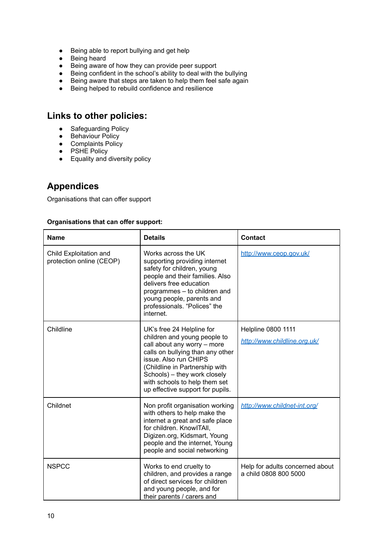- Being able to report bullying and get help
- Being heard
- Being aware of how they can provide peer support
- Being confident in the school's ability to deal with the bullying
- Being aware that steps are taken to help them feel safe again
- Being helped to rebuild confidence and resilience

# **Links to other policies:**

- *●* Safeguarding Policy
- *●* Behaviour Policy
- *●* Complaints Policy
- *●* PSHE Policy
- *●* Equality and diversity policy

# **Appendices**

Organisations that can offer support

#### **Organisations that can offer support:**

| <b>Name</b>                                        | <b>Details</b>                                                                                                                                                                                                                                                                               | <b>Contact</b>                                            |
|----------------------------------------------------|----------------------------------------------------------------------------------------------------------------------------------------------------------------------------------------------------------------------------------------------------------------------------------------------|-----------------------------------------------------------|
| Child Exploitation and<br>protection online (CEOP) | Works across the UK<br>supporting providing internet<br>safety for children, young<br>people and their families. Also<br>delivers free education<br>programmes - to children and<br>young people, parents and<br>professionals. "Polices" the<br>internet.                                   | http://www.ceop.gov.uk/                                   |
| Childline                                          | UK's free 24 Helpline for<br>children and young people to<br>call about any worry - more<br>calls on bullying than any other<br>issue. Also run CHIPS<br>(Childline in Partnership with<br>Schools) - they work closely<br>with schools to help them set<br>up effective support for pupils. | <b>Helpline 0800 1111</b><br>http://www.childline.org.uk/ |
| Childnet                                           | Non profit organisation working<br>with others to help make the<br>internet a great and safe place<br>for children. KnowlTAll,<br>Digizen.org, Kidsmart, Young<br>people and the internet, Young<br>people and social networking                                                             | http://www.childnet-int.org/                              |
| <b>NSPCC</b>                                       | Works to end cruelty to<br>children, and provides a range<br>of direct services for children<br>and young people, and for<br>their parents / carers and                                                                                                                                      | Help for adults concerned about<br>a child 0808 800 5000  |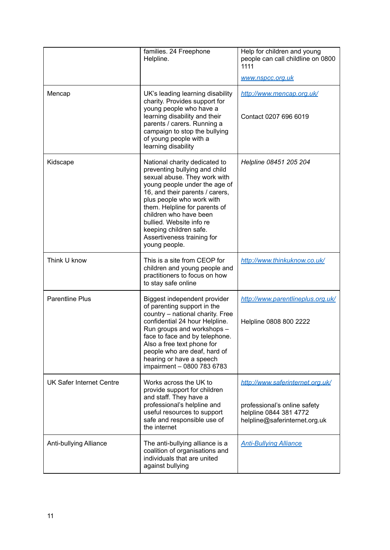|                                 | families. 24 Freephone<br>Helpline.                                                                                                                                                                                                                                                                                                                             | Help for children and young<br>people can call childline on 0800<br>1111<br>www.nspcc.org.uk                                |
|---------------------------------|-----------------------------------------------------------------------------------------------------------------------------------------------------------------------------------------------------------------------------------------------------------------------------------------------------------------------------------------------------------------|-----------------------------------------------------------------------------------------------------------------------------|
| Mencap                          | UK's leading learning disability<br>charity. Provides support for<br>young people who have a<br>learning disability and their<br>parents / carers. Running a<br>campaign to stop the bullying<br>of young people with a<br>learning disability                                                                                                                  | http://www.mencap.org.uk/<br>Contact 0207 696 6019                                                                          |
| Kidscape                        | National charity dedicated to<br>preventing bullying and child<br>sexual abuse. They work with<br>young people under the age of<br>16, and their parents / carers,<br>plus people who work with<br>them. Helpline for parents of<br>children who have been<br>bullied. Website info re<br>keeping children safe.<br>Assertiveness training for<br>young people. | Helpline 08451 205 204                                                                                                      |
| Think U know                    | This is a site from CEOP for<br>children and young people and<br>practitioners to focus on how<br>to stay safe online                                                                                                                                                                                                                                           | http://www.thinkuknow.co.uk/                                                                                                |
| <b>Parentline Plus</b>          | Biggest independent provider<br>of parenting support in the<br>country - national charity. Free<br>confidential 24 hour Helpline.<br>Run groups and workshops -<br>face to face and by telephone.<br>Also a free text phone for<br>people who are deaf, hard of<br>hearing or have a speech<br>impairment - 0800 783 6783                                       | http://www.parentlineplus.org.uk/<br>Helpline 0808 800 2222                                                                 |
| <b>UK Safer Internet Centre</b> | Works across the UK to<br>provide support for children<br>and staff. They have a<br>professional's helpline and<br>useful resources to support<br>safe and responsible use of<br>the internet                                                                                                                                                                   | http://www.saferinternet.org.uk/<br>professional's online safety<br>helpline 0844 381 4772<br>helpline@saferinternet.org.uk |
| Anti-bullying Alliance          | The anti-bullying alliance is a<br>coalition of organisations and<br>individuals that are united<br>against bullying                                                                                                                                                                                                                                            | <b>Anti-Bullying Alliance</b>                                                                                               |